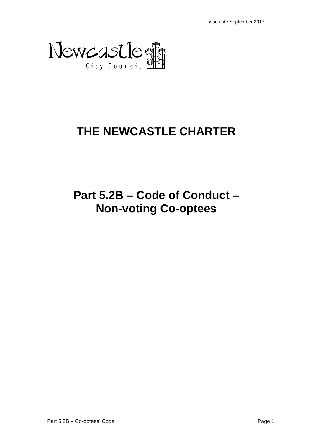

# **THE NEWCASTLE CHARTER**

# **Part 5.2B – Code of Conduct – Non-voting Co-optees**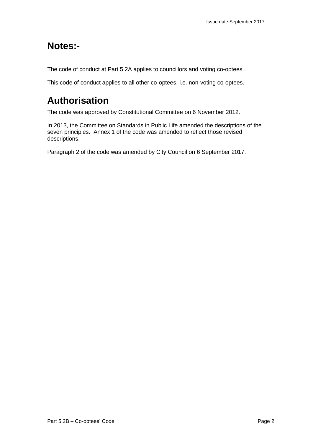# **Notes:-**

The code of conduct at Part 5.2A applies to councillors and voting co-optees.

This code of conduct applies to all other co-optees, i.e. non-voting co-optees.

# **Authorisation**

The code was approved by Constitutional Committee on 6 November 2012.

In 2013, the Committee on Standards in Public Life amended the descriptions of the seven principles. Annex 1 of the code was amended to reflect those revised descriptions.

Paragraph 2 of the code was amended by City Council on 6 September 2017.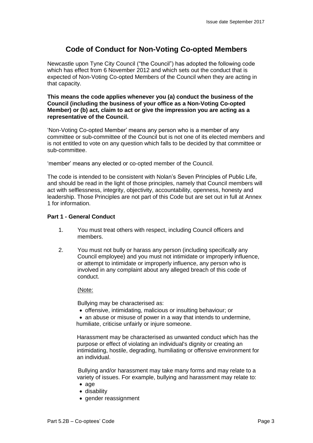# **Code of Conduct for Non-Voting Co-opted Members**

Newcastle upon Tyne City Council ("the Council") has adopted the following code which has effect from 6 November 2012 and which sets out the conduct that is expected of Non-Voting Co-opted Members of the Council when they are acting in that capacity.

**This means the code applies whenever you (a) conduct the business of the Council (including the business of your office as a Non-Voting Co-opted Member) or (b) act, claim to act or give the impression you are acting as a representative of the Council.**

'Non-Voting Co-opted Member' means any person who is a member of any committee or sub-committee of the Council but is not one of its elected members and is not entitled to vote on any question which falls to be decided by that committee or sub-committee.

'member' means any elected or co-opted member of the Council.

The code is intended to be consistent with Nolan's Seven Principles of Public Life, and should be read in the light of those principles, namely that Council members will act with selflessness, integrity, objectivity, accountability, openness, honesty and leadership. Those Principles are not part of this Code but are set out in full at Annex 1 for information.

# **Part 1 - General Conduct**

- 1. You must treat others with respect, including Council officers and members.
- 2. You must not bully or harass any person (including specifically any Council employee) and you must not intimidate or improperly influence, or attempt to intimidate or improperly influence, any person who is involved in any complaint about any alleged breach of this code of conduct.

#### (Note:

Bullying may be characterised as:

offensive, intimidating, malicious or insulting behaviour; or

• an abuse or misuse of power in a way that intends to undermine, humiliate, criticise unfairly or injure someone.

Harassment may be characterised as unwanted conduct which has the purpose or effect of violating an individual's dignity or creating an intimidating, hostile, degrading, humiliating or offensive environment for an individual.

Bullying and/or harassment may take many forms and may relate to a variety of issues. For example, bullying and harassment may relate to:

- $\bullet$  age
- disability
- gender reassignment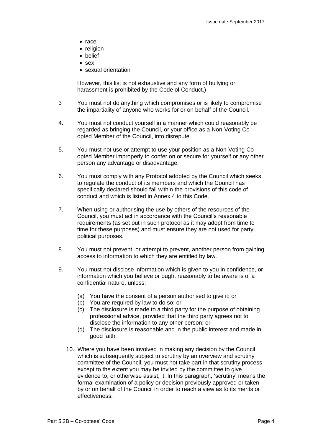- $\bullet$  race
- religion
- belief
- $s$
- sexual orientation

However, this list is not exhaustive and any form of bullying or harassment is prohibited by the Code of Conduct.)

- 3 You must not do anything which compromises or is likely to compromise the impartiality of anyone who works for or on behalf of the Council.
- 4. You must not conduct yourself in a manner which could reasonably be regarded as bringing the Council, or your office as a Non-Voting Coopted Member of the Council, into disrepute.
- 5. You must not use or attempt to use your position as a Non-Voting Coopted Member improperly to confer on or secure for yourself or any other person any advantage or disadvantage.
- 6. You must comply with any Protocol adopted by the Council which seeks to regulate the conduct of its members and which the Council has specifically declared should fall within the provisions of this code of conduct and which is listed in Annex 4 to this Code.
- 7. When using or authorising the use by others of the resources of the Council, you must act in accordance with the Council's reasonable requirements (as set out in such protocol as it may adopt from time to time for these purposes) and must ensure they are not used for party political purposes.
- 8. You must not prevent, or attempt to prevent, another person from gaining access to information to which they are entitled by law.
- 9. You must not disclose information which is given to you in confidence, or information which you believe or ought reasonably to be aware is of a confidential nature, unless:
	- (a) You have the consent of a person authorised to give it; or
	- (b) You are required by law to do so; or
	- (c) The disclosure is made to a third party for the purpose of obtaining professional advice, provided that the third party agrees not to disclose the information to any other person; or
	- (d) The disclosure is reasonable and in the public interest and made in good faith.
	- 10. Where you have been involved in making any decision by the Council which is subsequently subject to scrutiny by an overview and scrutiny committee of the Council, you must not take part in that scrutiny process except to the extent you may be invited by the committee to give evidence to, or otherwise assist, it. In this paragraph, 'scrutiny' means the formal examination of a policy or decision previously approved or taken by or on behalf of the Council in order to reach a view as to its merits or effectiveness.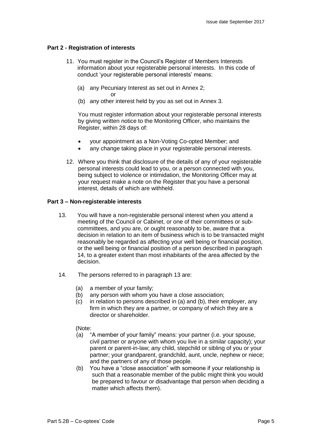#### **Part 2 - Registration of interests**

- 11. You must register in the Council's Register of Members Interests information about your registerable personal interests. In this code of conduct 'your registerable personal interests' means:
	- (a) any Pecuniary Interest as set out in Annex 2; or
	- (b) any other interest held by you as set out in Annex 3.

You must register information about your registerable personal interests by giving written notice to the Monitoring Officer, who maintains the Register, within 28 days of:

- your appointment as a Non-Voting Co-opted Member; and
- any change taking place in your registerable personal interests.
- 12. Where you think that disclosure of the details of any of your registerable personal interests could lead to you, or a person connected with you, being subject to violence or intimidation, the Monitoring Officer may at your request make a note on the Register that you have a personal interest, details of which are withheld.

#### **Part 3 – Non-registerable interests**

- 13. You will have a non-registerable personal interest when you attend a meeting of the Council or Cabinet, or one of their committees or subcommittees, and you are, or ought reasonably to be, aware that a decision in relation to an item of business which is to be transacted might reasonably be regarded as affecting your well being or financial position, or the well being or financial position of a person described in paragraph 14, to a greater extent than most inhabitants of the area affected by the decision.
- 14. The persons referred to in paragraph 13 are:
	- (a) a member of your family;
	- (b) any person with whom you have a close association;
	- (c) in relation to persons described in (a) and (b), their employer, any firm in which they are a partner, or company of which they are a director or shareholder.

#### (Note:

- (a) "A member of your family" means: your partner (i.e. your spouse, civil partner or anyone with whom you live in a similar capacity); your parent or parent-in-law; any child, stepchild or sibling of you or your partner; your grandparent, grandchild, aunt, uncle, nephew or niece; and the partners of any of those people.
- (b) You have a "close association" with someone if your relationship is such that a reasonable member of the public might think you would be prepared to favour or disadvantage that person when deciding a matter which affects them).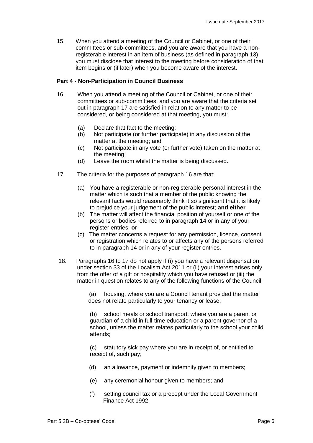15. When you attend a meeting of the Council or Cabinet, or one of their committees or sub-committees, and you are aware that you have a nonregisterable interest in an item of business (as defined in paragraph 13) you must disclose that interest to the meeting before consideration of that item begins or (if later) when you become aware of the interest.

#### **Part 4 - Non-Participation in Council Business**

- 16. When you attend a meeting of the Council or Cabinet, or one of their committees or sub-committees, and you are aware that the criteria set out in paragraph 17 are satisfied in relation to any matter to be considered, or being considered at that meeting, you must:
	- (a) Declare that fact to the meeting;
	- (b) Not participate (or further participate) in any discussion of the matter at the meeting; and
	- (c) Not participate in any vote (or further vote) taken on the matter at the meeting;
	- (d) Leave the room whilst the matter is being discussed.
- 17. The criteria for the purposes of paragraph 16 are that:
	- (a) You have a registerable or non-registerable personal interest in the matter which is such that a member of the public knowing the relevant facts would reasonably think it so significant that it is likely to prejudice your judgement of the public interest; **and either**
	- (b) The matter will affect the financial position of yourself or one of the persons or bodies referred to in paragraph 14 or in any of your register entries; **or**
	- (c) The matter concerns a request for any permission, licence, consent or registration which relates to or affects any of the persons referred to in paragraph 14 or in any of your register entries.
- 18. Paragraphs 16 to 17 do not apply if (i) you have a relevant dispensation under section 33 of the Localism Act 2011 or (ii) your interest arises only from the offer of a gift or hospitality which you have refused or (iii) the matter in question relates to any of the following functions of the Council:

 (a) housing, where you are a Council tenant provided the matter does not relate particularly to your tenancy or lease;

(b) school meals or school transport, where you are a parent or guardian of a child in full-time education or a parent governor of a school, unless the matter relates particularly to the school your child attends;

(c) statutory sick pay where you are in receipt of, or entitled to receipt of, such pay;

- (d) an allowance, payment or indemnity given to members;
- (e) any ceremonial honour given to members; and
- (f) setting council tax or a precept under the Local Government Finance Act 1992.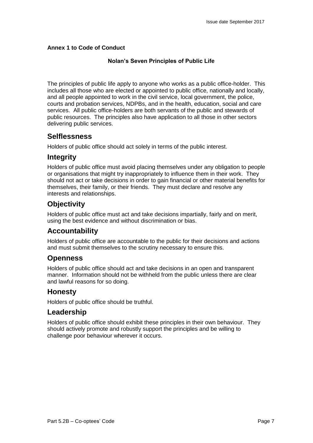## **Annex 1 to Code of Conduct**

## **Nolan's Seven Principles of Public Life**

The principles of public life apply to anyone who works as a public office-holder. This includes all those who are elected or appointed to public office, nationally and locally, and all people appointed to work in the civil service, local government, the police, courts and probation services, NDPBs, and in the health, education, social and care services. All public office-holders are both servants of the public and stewards of public resources. The principles also have application to all those in other sectors delivering public services.

# **Selflessness**

Holders of public office should act solely in terms of the public interest.

# **Integrity**

Holders of public office must avoid placing themselves under any obligation to people or organisations that might try inappropriately to influence them in their work. They should not act or take decisions in order to gain financial or other material benefits for themselves, their family, or their friends. They must declare and resolve any interests and relationships.

# **Objectivity**

Holders of public office must act and take decisions impartially, fairly and on merit, using the best evidence and without discrimination or bias.

# **Accountability**

Holders of public office are accountable to the public for their decisions and actions and must submit themselves to the scrutiny necessary to ensure this.

# **Openness**

Holders of public office should act and take decisions in an open and transparent manner. Information should not be withheld from the public unless there are clear and lawful reasons for so doing.

# **Honesty**

Holders of public office should be truthful.

# **Leadership**

Holders of public office should exhibit these principles in their own behaviour. They should actively promote and robustly support the principles and be willing to challenge poor behaviour wherever it occurs.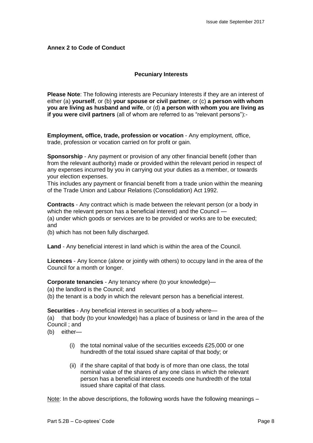## **Annex 2 to Code of Conduct**

## **Pecuniary Interests**

**Please Note**: The following interests are Pecuniary Interests if they are an interest of either (a) **yourself**, or (b) **your spouse or civil partner**, or (c) **a person with whom you are living as husband and wife**, or (d) **a person with whom you are living as if you were civil partners** (all of whom are referred to as "relevant persons"):-

**Employment, office, trade, profession or vocation** - Any employment, office, trade, profession or vocation carried on for profit or gain.

**Sponsorship** - Any payment or provision of any other financial benefit (other than from the relevant authority) made or provided within the relevant period in respect of any expenses incurred by you in carrying out your duties as a member, or towards your election expenses.

This includes any payment or financial benefit from a trade union within the meaning of the Trade Union and Labour Relations (Consolidation) Act 1992.

**Contracts** - Any contract which is made between the relevant person (or a body in which the relevant person has a beneficial interest) and the Council -(a) under which goods or services are to be provided or works are to be executed; and

(b) which has not been fully discharged.

**Land** - Any beneficial interest in land which is within the area of the Council.

**Licences** - Any licence (alone or jointly with others) to occupy land in the area of the Council for a month or longer.

**Corporate tenancies** - Any tenancy where (to your knowledge)—

(a) the landlord is the Council; and

(b) the tenant is a body in which the relevant person has a beneficial interest.

**Securities** - Any beneficial interest in securities of a body where—

(a) that body (to your knowledge) has a place of business or land in the area of the Council ; and

(b) either—

- (i) the total nominal value of the securities exceeds £25,000 or one hundredth of the total issued share capital of that body; or
- (ii) if the share capital of that body is of more than one class, the total nominal value of the shares of any one class in which the relevant person has a beneficial interest exceeds one hundredth of the total issued share capital of that class.

Note: In the above descriptions, the following words have the following meanings –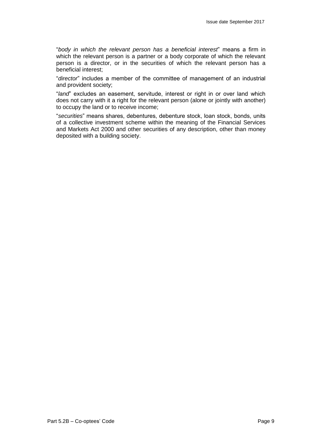"*body in which the relevant person has a beneficial interest*" means a firm in which the relevant person is a partner or a body corporate of which the relevant person is a director, or in the securities of which the relevant person has a beneficial interest;

"*director*" includes a member of the committee of management of an industrial and provident society;

"*land*" excludes an easement, servitude, interest or right in or over land which does not carry with it a right for the relevant person (alone or jointly with another) to occupy the land or to receive income;

"*securities*" means shares, debentures, debenture stock, loan stock, bonds, units of a collective investment scheme within the meaning of the Financial Services and Markets Act 2000 and other securities of any description, other than money deposited with a building society.